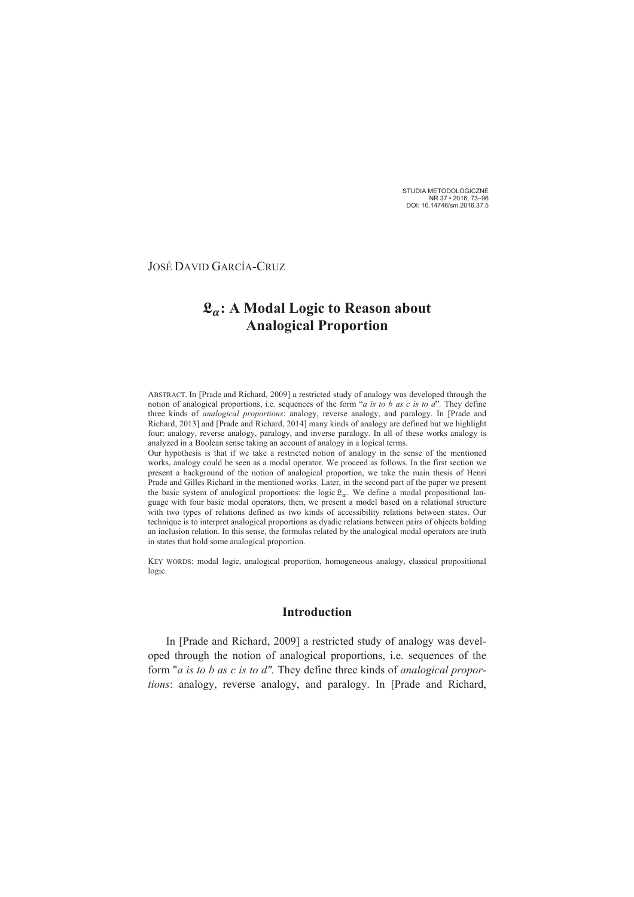STUDIA METODOLOGICZNE NR 37 . 2016, 73-96<br>DOI: 10.14746/sm.2016.37.5

**JOSÉ DAVID GARCÍA-CRUZ** 

# $\mathfrak{L}_{\alpha}$ : A Modal Logic to Reason about **Analogical Proportion**

ABSTRACT. In [Prade and Richard, 2009] a restricted study of analogy was developed through the notion of analogical proportions, i.e. sequences of the form "*a is to b as c is to d*". They define three kinds of *analogical proportions*: analogy, reverse analogy, and paralogy. In [Prade and Richard, 2013] and [Prade and Richard, 2014] many kinds of analogy are defined but we highlight four: analogy, reverse analogy, paralogy, and inverse paralogy. In all of these works analogy is analyzed in a Boolean sense taking an account of analogy in a logical terms.

Our hypothesis is that if we take a restricted notion of analogy in the sense of the mentioned works, analogy could be seen as a modal operator. We proceed as follows. In the first section we present a background of the notion of analogical proportion, we take the main thesis of Henri Prade and Gilles Richard in the mentioned works. Later, in the second part of the paper we present the basic system of analogical proportions: the logic  $\mathfrak{L}_{\alpha}$ . We define a modal propositional language with four basic modal operators, then, we present a model based on a relational structure with two types of relations defined as two kinds of accessibility relations between states. Our technique is to interpret analogical proportions as dyadic relations between pairs of objects holding an inclusion relation. In this sense, the formulas related by the analogical modal operators are truth in states that hold some analogical proportion.

KEY WORDS: modal logic, analogical proportion, homogeneous analogy, classical propositional logic.

### **Introduction**

In [Prade and Richard, 2009] a restricted study of analogy was developed through the notion of analogical proportions, i.e. sequences of the form "*a* is to *b* as *c* is to  $d$ ". They define three kinds of analogical proportions: analogy, reverse analogy, and paralogy. In [Prade and Richard,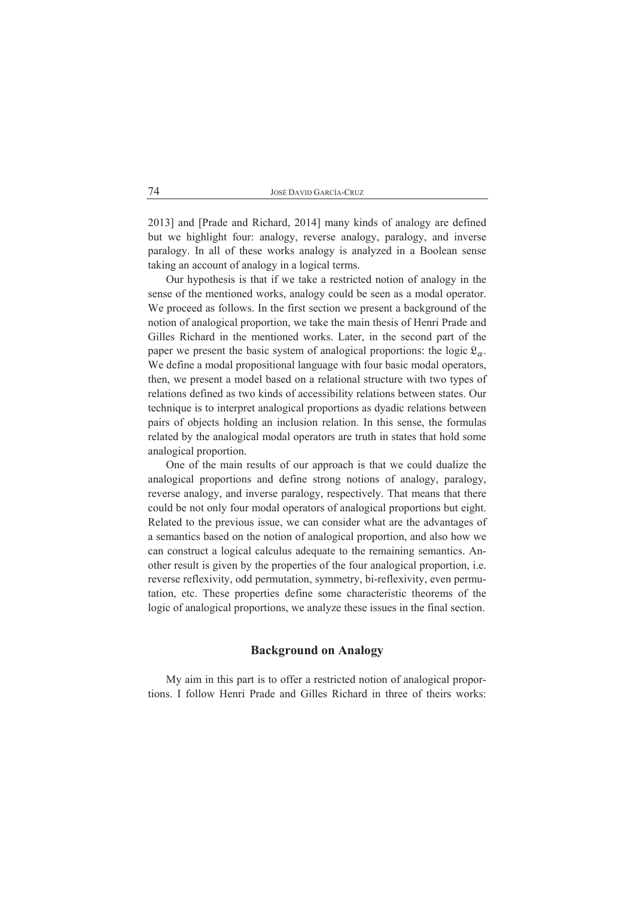| José David García-Cruz |
|------------------------|
|------------------------|

2013] and [Prade and Richard, 2014] many kinds of analogy are defined but we highlight four: analogy, reverse analogy, paralogy, and inverse paralogy. In all of these works analogy is analyzed in a Boolean sense taking an account of analogy in a logical terms.

Our hypothesis is that if we take a restricted notion of analogy in the sense of the mentioned works, analogy could be seen as a modal operator. We proceed as follows. In the first section we present a background of the notion of analogical proportion, we take the main thesis of Henri Prade and Gilles Richard in the mentioned works. Later, in the second part of the paper we present the basic system of analogical proportions: the logic  $\mathfrak{L}_{\alpha}$ . We define a modal propositional language with four basic modal operators, then, we present a model based on a relational structure with two types of relations defined as two kinds of accessibility relations between states. Our technique is to interpret analogical proportions as dyadic relations between pairs of objects holding an inclusion relation. In this sense, the formulas related by the analogical modal operators are truth in states that hold some analogical proportion.

One of the main results of our approach is that we could dualize the analogical proportions and define strong notions of analogy, paralogy, reverse analogy, and inverse paralogy, respectively. That means that there could be not only four modal operators of analogical proportions but eight. Related to the previous issue, we can consider what are the advantages of a semantics based on the notion of analogical proportion, and also how we can construct a logical calculus adequate to the remaining semantics. Another result is given by the properties of the four analogical proportion, *i.e.* reverse reflexivity, odd permutation, symmetry, bi-reflexivity, even permutation, etc. These properties define some characteristic theorems of the logic of analogical proportions, we analyze these issues in the final section.

#### **Background on Analogy**

My aim in this part is to offer a restricted notion of analogical proportions. I follow Henri Prade and Gilles Richard in three of theirs works: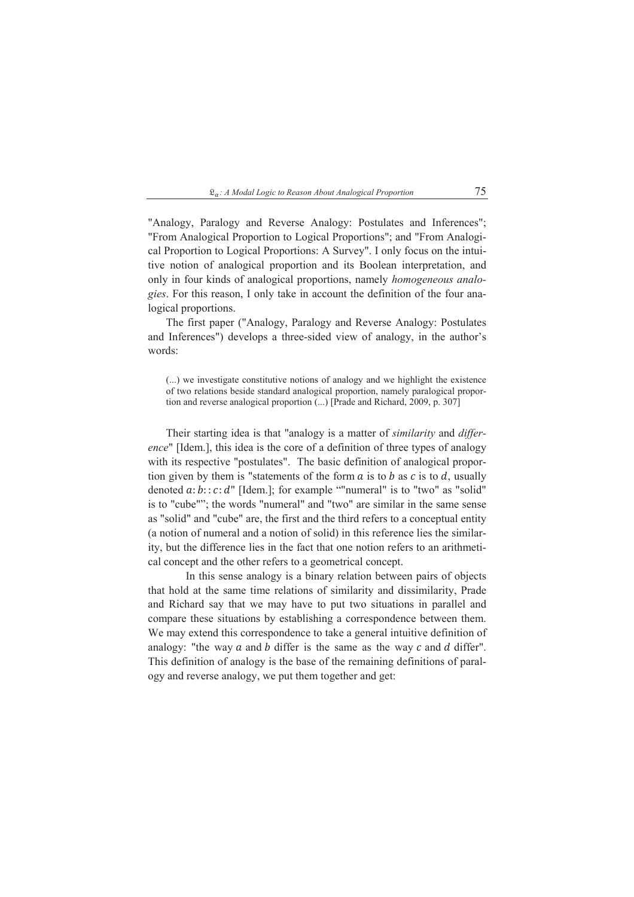$\mathfrak{L}_{\alpha}$ : A Modal Logic to Reason About Analogical Proportion

"Analogy, Paralogy and Reverse Analogy: Postulates and Inferences"; "From Analogical Proportion to Logical Proportions"; and "From Analogical Proportion to Logical Proportions: A Survey". I only focus on the intuitive notion of analogical proportion and its Boolean interpretation, and only in four kinds of analogical proportions, namely *homogeneous analo*gies. For this reason, I only take in account the definition of the four analogical proportions.

The first paper ("Analogy, Paralogy and Reverse Analogy: Postulates and Inferences") develops a three-sided view of analogy, in the author's words:

Their starting idea is that "analogy is a matter of *similarity* and *differ*ence" [Idem.], this idea is the core of a definition of three types of analogy with its respective "postulates". The basic definition of analogical proportion given by them is "statements of the form  $\alpha$  is to  $\beta$  as  $\alpha$  is to  $\alpha$ , usually denoted  $a:b::c:d"$  [Idem.]; for example ""numeral" is to "two" as "solid" is to "cube""; the words "numeral" and "two" are similar in the same sense as "solid" and "cube" are, the first and the third refers to a conceptual entity (a notion of numeral and a notion of solid) in this reference lies the similarity, but the difference lies in the fact that one notion refers to an arithmetical concept and the other refers to a geometrical concept.

In this sense analogy is a binary relation between pairs of objects that hold at the same time relations of similarity and dissimilarity, Prade and Richard say that we may have to put two situations in parallel and compare these situations by establishing a correspondence between them. We may extend this correspondence to take a general intuitive definition of analogy: "the way  $a$  and  $b$  differ is the same as the way  $c$  and  $d$  differ". This definition of analogy is the base of the remaining definitions of paralogy and reverse analogy, we put them together and get:

<sup>(...)</sup> we investigate constitutive notions of analogy and we highlight the existence of two relations beside standard analogical proportion, namely paralogical proportion and reverse analogical proportion (...) [Prade and Richard, 2009, p. 307]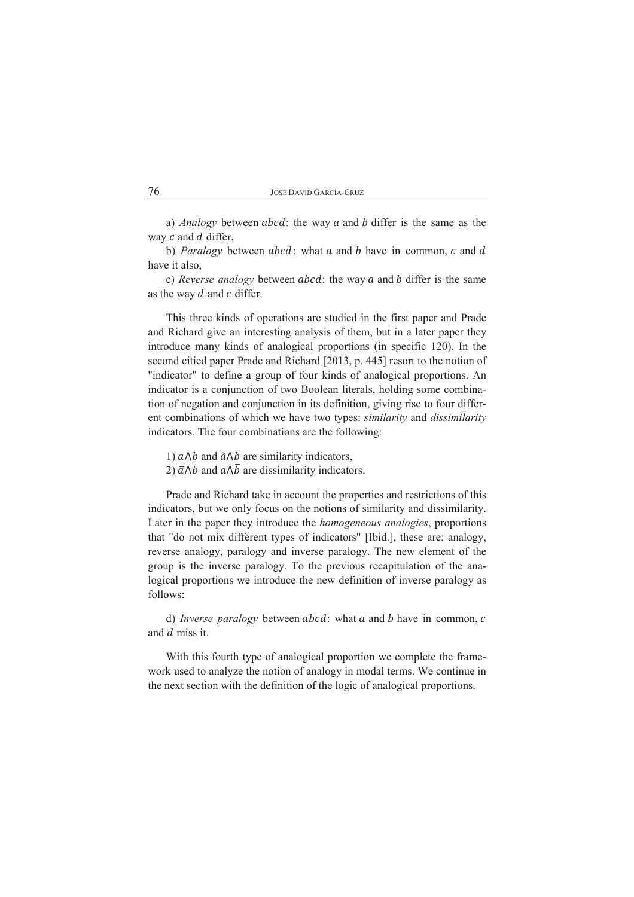| José David García-Cruz |  |
|------------------------|--|
|------------------------|--|

a) Analogy between  $abcd$ : the way  $a$  and  $b$  differ is the same as the way  $c$  and  $d$  differ,

b) *Paralogy* between  $abcd$ : what  $a$  and  $b$  have in common,  $c$  and  $d$ have it also.

c) *Reverse analogy* between *abcd*: the way  $a$  and  $b$  differ is the same as the way  $d$  and  $c$  differ.

This three kinds of operations are studied in the first paper and Prade and Richard give an interesting analysis of them, but in a later paper they introduce many kinds of analogical proportions (in specific 120). In the second citied paper Prade and Richard [2013, p. 445] resort to the notion of "indicator" to define a group of four kinds of analogical proportions. An indicator is a conjunction of two Boolean literals, holding some combination of negation and conjunction in its definition, giving rise to four different combinations of which we have two types: *similarity* and *dissimilarity* indicators. The four combinations are the following:

- 1)  $a \wedge b$  and  $\tilde{a} \wedge \overline{b}$  are similarity indicators,
- 2)  $\bar{a} \wedge b$  and  $a \wedge \bar{b}$  are dissimilarity indicators.

Prade and Richard take in account the properties and restrictions of this indicators, but we only focus on the notions of similarity and dissimilarity. Later in the paper they introduce the *homogeneous analogies*, proportions that "do not mix different types of indicators" [Ibid.], these are: analogy, reverse analogy, paralogy and inverse paralogy. The new element of the group is the inverse paralogy. To the previous recapitulation of the analogical proportions we introduce the new definition of inverse paralogy as follows:

d) *Inverse paralogy* between  $abcd$ : what  $a$  and  $b$  have in common,  $c$ and d miss it.

With this fourth type of analogical proportion we complete the framework used to analyze the notion of analogy in modal terms. We continue in the next section with the definition of the logic of analogical proportions.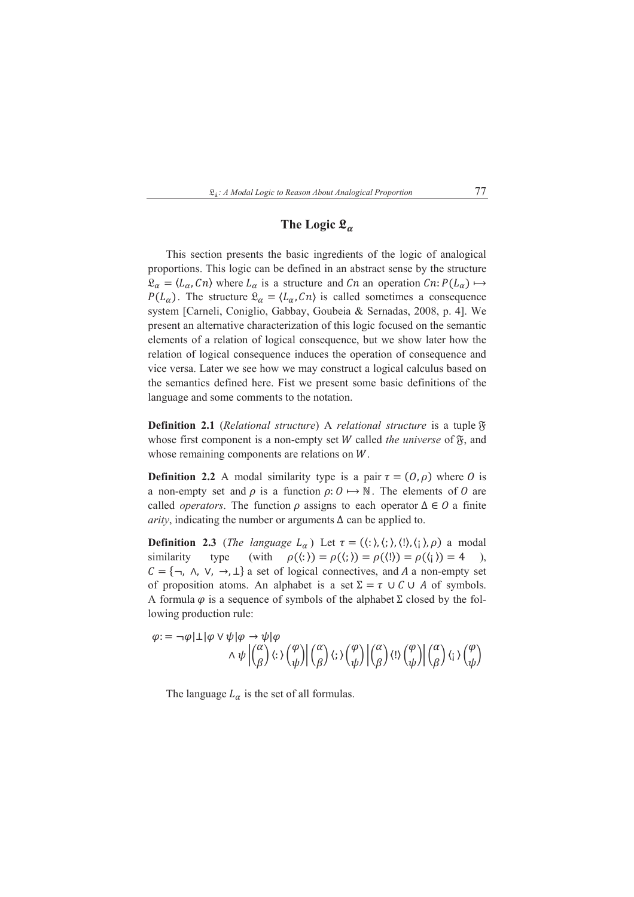

77

# The Logic  $\mathfrak{L}_{\alpha}$

This section presents the basic ingredients of the logic of analogical proportions. This logic can be defined in an abstract sense by the structure  $\mathfrak{L}_{\alpha} = \langle L_{\alpha}, C_n \rangle$  where  $L_{\alpha}$  is a structure and Cn an operation  $C_n: P(L_{\alpha}) \mapsto$  $P(L_{\alpha})$ . The structure  $\mathfrak{L}_{\alpha} = \langle L_{\alpha}, C_{\alpha} \rangle$  is called sometimes a consequence system [Carneli, Coniglio, Gabbay, Goubeia & Sernadas, 2008, p. 4]. We present an alternative characterization of this logic focused on the semantic elements of a relation of logical consequence, but we show later how the relation of logical consequence induces the operation of consequence and vice versa. Later we see how we may construct a logical calculus based on the semantics defined here. Fist we present some basic definitions of the language and some comments to the notation.

**Definition 2.1** (Relational structure) A relational structure is a tuple  $\mathfrak{F}$ whose first component is a non-empty set W called the universe of  $\mathfrak{F}$ , and whose remaining components are relations on  $W$ .

**Definition 2.2** A modal similarity type is a pair  $\tau = (0, \rho)$  where 0 is a non-empty set and  $\rho$  is a function  $\rho: O \mapsto \mathbb{N}$ . The elements of O are called *operators*. The function  $\rho$  assigns to each operator  $\Delta \in O$  a finite *arity*, indicating the number or arguments  $\Delta$  can be applied to.

**Definition 2.3** (*The language L<sub>a</sub>)* Let  $\tau = (\langle : \rangle, \langle : \rangle, \langle : \rangle, \langle : \rangle, \rho)$  a modal  $\rho(\langle : \rangle) = \rho(\langle : \rangle) = \rho(\langle : \rangle) = \rho(\langle : \rangle) = 4$ similarity type (with  $\lambda$  $C = \{\neg, \land, \lor, \rightarrow, \bot\}$  a set of logical connectives, and A a non-empty set of proposition atoms. An alphabet is a set  $\Sigma = \tau \cup C \cup A$  of symbols. A formula  $\varphi$  is a sequence of symbols of the alphabet  $\Sigma$  closed by the following production rule:

$$
\varphi := \neg \varphi | \bot | \varphi \lor \psi | \varphi \to \psi | \varphi
$$

$$
\land \psi \left| \begin{pmatrix} \alpha \\ \beta \end{pmatrix} \langle : \rangle \begin{pmatrix} \varphi \\ \psi \end{pmatrix} \right| \begin{pmatrix} \alpha \\ \beta \end{pmatrix} \langle : \rangle \begin{pmatrix} \varphi \\ \psi \end{pmatrix} \left| \begin{pmatrix} \alpha \\ \beta \end{pmatrix} \langle : \rangle \begin{pmatrix} \varphi \\ \psi \end{pmatrix} \right| \begin{pmatrix} \alpha \\ \beta \end{pmatrix} \langle : \rangle \begin{pmatrix} \varphi \\ \psi \end{pmatrix}
$$

The language  $L_{\alpha}$  is the set of all formulas.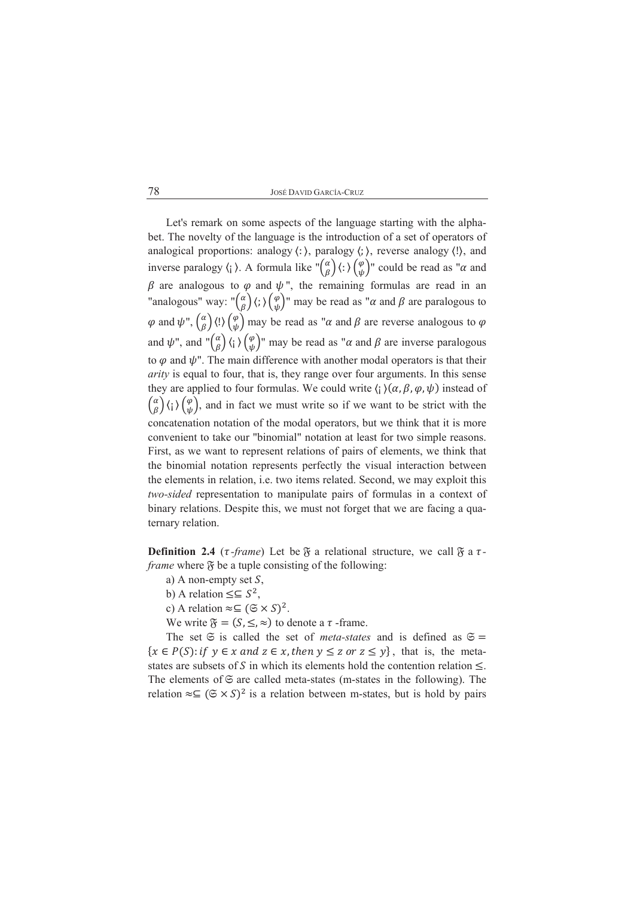Let's remark on some aspects of the language starting with the alphabet. The novelty of the language is the introduction of a set of operators of analogical proportions: analogy  $\langle : \rangle$ , paralogy  $\langle : \rangle$ , reverse analogy  $\langle : \rangle$ , and inverse paralogy  $\langle$ ;  $\rangle$ . A formula like  $\binom{\alpha}{\beta}$   $\langle$ :  $\rangle$   $\binom{\varphi}{\psi}$  could be read as " $\alpha$  and  $\beta$  are analogous to  $\varphi$  and  $\psi$ ", the remaining formulas are read in an "analogous" way: " $\binom{\alpha}{\beta}$  $\langle ; \rangle \binom{\varphi}{\psi}$ " may be read as " $\alpha$  and  $\beta$  are paralogous to  $\varphi$  and  $\psi$ ",  $\begin{pmatrix} \alpha \\ \beta \end{pmatrix}$  (!)  $\begin{pmatrix} \varphi \\ \psi \end{pmatrix}$  may be read as " $\alpha$  and  $\beta$  are reverse analogous to  $\varphi$ and  $\psi$ ", and " $\binom{\alpha}{\beta}$  (; )  $\binom{\varphi}{\psi}$ " may be read as " $\alpha$  and  $\beta$  are inverse paralogous to  $\varphi$  and  $\psi$ ". The main difference with another modal operators is that their *arity* is equal to four, that is, they range over four arguments. In this sense they are applied to four formulas. We could write  $\langle \cdot | \rangle (\alpha, \beta, \varphi, \psi)$  instead of  $\binom{\alpha}{\beta}$   $\langle \cdot \rangle$   $\binom{\varphi}{\psi}$ , and in fact we must write so if we want to be strict with the concatenation notation of the modal operators, but we think that it is more convenient to take our "binomial" notation at least for two simple reasons. First, as we want to represent relations of pairs of elements, we think that the binomial notation represents perfectly the visual interaction between the elements in relation, *i.e.* two items related. Second, we may exploit this two-sided representation to manipulate pairs of formulas in a context of binary relations. Despite this, we must not forget that we are facing a quaternary relation.

**Definition 2.4** ( $\tau$ -frame) Let be  $\mathfrak{F}$  a relational structure, we call  $\mathfrak{F}$  a  $\tau$ *frame* where  $\mathfrak F$  be a tuple consisting of the following:

- a) A non-empty set  $S$ ,
- b) A relation  $\leq \leq S^2$ ,
- c) A relation  $\approx \subseteq (\mathfrak{S} \times S)^2$ .

We write  $\mathfrak{F} = (S, \leq, \approx)$  to denote a  $\tau$ -frame.

The set  $\Im$  is called the set of *meta-states* and is defined as  $\Im$  =  $\{x \in P(S): if \ y \in x \text{ and } z \in x, then \ y \le z \text{ or } z \le y\}$ , that is, the metastates are subsets of S in which its elements hold the contention relation  $\leq$ . The elements of  $\mathfrak S$  are called meta-states (m-states in the following). The relation  $\approx \subseteq (\mathfrak{S} \times S)^2$  is a relation between m-states, but is hold by pairs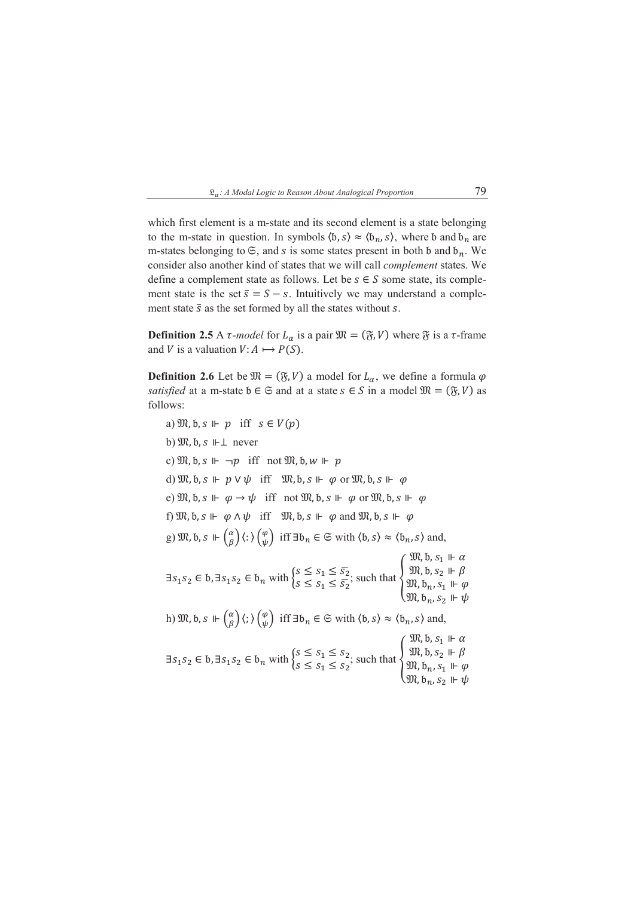#### $\mathfrak{L}_{\alpha}$ : A Modal Logic to Reason About Analogical Proportion

79

which first element is a m-state and its second element is a state belonging to the m-state in question. In symbols  $(b, s) \approx (b_n, s)$ , where b and  $b_n$  are m-states belonging to  $\mathfrak{S}$ , and s is some states present in both b and  $b_n$ . We consider also another kind of states that we will call *complement* states. We define a complement state as follows. Let be  $s \in S$  some state, its complement state is the set  $\bar{s} = S - s$ . Intuitively we may understand a complement state  $\bar{s}$  as the set formed by all the states without s.

**Definition 2.5** A  $\tau$ -model for  $L_{\alpha}$  is a pair  $\mathfrak{M} = (\mathfrak{F}, V)$  where  $\mathfrak{F}$  is a  $\tau$ -frame and V is a valuation  $V: A \mapsto P(S)$ .

**Definition 2.6** Let be  $\mathfrak{M} = (\mathfrak{F}, V)$  a model for  $L_{\alpha}$ , we define a formula  $\varphi$ satisfied at a m-state  $b \in \mathfrak{S}$  and at a state  $s \in S$  in a model  $\mathfrak{M} = (\mathfrak{F}, V)$  as follows:

a)  $\mathfrak{M}, \mathfrak{b}, s \Vdash p$  iff  $s \in V(p)$ b)  $\mathfrak{M}, \mathfrak{b}, s \Vdash \perp$  never c)  $\mathfrak{M}, \mathfrak{b}, s \Vdash \neg p$  iff not  $\mathfrak{M}, \mathfrak{b}, w \Vdash p$ d)  $\mathfrak{M}, \mathfrak{b}, \mathfrak{s} \Vdash p \vee \psi$  iff  $\mathfrak{M}, \mathfrak{b}, \mathfrak{s} \Vdash \varphi$  or  $\mathfrak{M}, \mathfrak{b}, \mathfrak{s} \Vdash \varphi$ e)  $\mathfrak{M}, \mathfrak{b}, \mathfrak{s} \Vdash \varphi \rightarrow \psi$  iff not  $\mathfrak{M}, \mathfrak{b}, \mathfrak{s} \Vdash \varphi$  or  $\mathfrak{M}, \mathfrak{b}, \mathfrak{s} \Vdash \varphi$ f)  $\mathfrak{M}, \mathfrak{b}, \mathfrak{s} \Vdash \varphi \wedge \psi$  iff  $\mathfrak{M}, \mathfrak{b}, \mathfrak{s} \Vdash \varphi$  and  $\mathfrak{M}, \mathfrak{b}, \mathfrak{s} \Vdash \varphi$ g)  $\mathfrak{M}, \mathfrak{b}, s \Vdash \begin{pmatrix} \alpha \\ \beta \end{pmatrix} \langle : \rangle \begin{pmatrix} \varphi \\ \psi \end{pmatrix}$  iff  $\exists \mathfrak{b}_n \in \mathfrak{S}$  with  $\langle \mathfrak{b}, s \rangle \approx \langle \mathfrak{b}_n, s \rangle$  and,  $\exists s_1 s_2 \in b, \exists s_1 s_2 \in b_n \text{ with } \begin{cases} s \leq s_1 \leq \overline{s_2} \\ s \leq s_1 \leq \overline{s_2} \end{cases} \text{ such that } \begin{cases} \mathfrak{M}, b, s_1 \Vdash \alpha \\ \mathfrak{M}, b, s_2 \Vdash \beta \\ \mathfrak{M}, b_n, s_1 \Vdash \varphi \\ \mathfrak{M}, b_n, s_2 \Vdash \psi \end{cases}$ h)  $\mathfrak{M}, \mathfrak{b}, s \Vdash \begin{pmatrix} \alpha \\ \beta \end{pmatrix} \langle ; \rangle \begin{pmatrix} \varphi \\ \psi \end{pmatrix}$  iff  $\exists \mathfrak{b}_n \in \mathfrak{S}$  with  $\langle \mathfrak{b}, s \rangle \approx \langle \mathfrak{b}_n, s \rangle$  and,  $\exists s_1 s_2 \in \mathfrak{b}, \exists s_1 s_2 \in \mathfrak{b}_n \text{ with } \begin{cases} s \leq s_1 \leq s_2 \\ s \leq s_1 \leq s_2 \end{cases} \text{ such that } \begin{cases} \mathfrak{M}, \mathfrak{b}, s_1 \Vdash \alpha \\ \mathfrak{M}, \mathfrak{b}, s_2 \Vdash \beta \\ \mathfrak{M}, \mathfrak{b}_n, s_1 \Vdash \varphi \\ \mathfrak{M}, \mathfrak{b}_n, s_1 \Vdash \psi \end{cases}$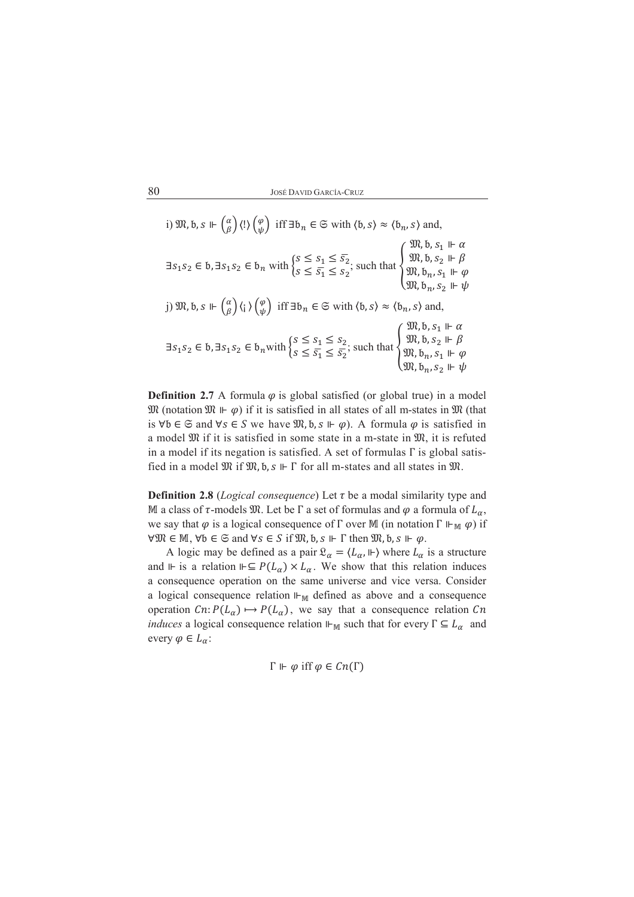i) 
$$
\mathfrak{M}, b, s \Vdash \begin{pmatrix} \alpha \\ \beta \end{pmatrix} \langle ! \rangle \begin{pmatrix} \varphi \\ \psi \end{pmatrix}
$$
 iff  $\exists b_n \in \mathfrak{S}$  with  $\langle b, s \rangle \approx \langle b_n, s \rangle$  and,  
\n $\exists s_1 s_2 \in b, \exists s_1 s_2 \in b_n$  with  $\begin{cases} s \le s_1 \le \overline{s_2} \\ s \le \overline{s_1} \le s_2 \end{cases}$ ; such that  $\begin{cases} \mathfrak{M}, b, s_1 \Vdash \alpha \\ \mathfrak{M}, b, s_2 \Vdash \beta \\ \mathfrak{M}, b_n, s_1 \Vdash \varphi \\ \mathfrak{M}, b_n, s_2 \Vdash \psi \end{cases}$   
\nj)  $\mathfrak{M}, b, s \Vdash \begin{pmatrix} \alpha \\ \beta \end{pmatrix} \langle i \rangle \begin{pmatrix} \varphi \\ \psi \end{pmatrix}$  iff  $\exists b_n \in \mathfrak{S}$  with  $\langle b, s \rangle \approx \langle b_n, s \rangle$  and,  
\n $\exists s_1 s_2 \in b, \exists s_1 s_2 \in b_n$  with  $\begin{cases} s \le s_1 \le s_2 \\ s \le \overline{s_1} \le \overline{s_2} \end{cases}$ ; such that  $\begin{cases} \mathfrak{M}, b, s_1 \Vdash \alpha \\ \mathfrak{M}, b, s_2 \Vdash \beta \\ \mathfrak{M}, b_n, s_1 \Vdash \varphi \\ \mathfrak{M}, b_n, s_1 \Vdash \varphi \\ \mathfrak{M}, b_n, s_2 \Vdash \psi \end{cases}$ 

**Definition 2.7** A formula  $\varphi$  is global satisfied (or global true) in a model  $\mathfrak{M}$  (notation  $\mathfrak{M} \Vdash \varphi$ ) if it is satisfied in all states of all m-states in  $\mathfrak{M}$  (that is  $\forall b \in \mathfrak{S}$  and  $\forall s \in S$  we have  $\mathfrak{M}, b, s \Vdash \varphi$ . A formula  $\varphi$  is satisfied in a model  $\mathfrak{M}$  if it is satisfied in some state in a m-state in  $\mathfrak{M}$ , it is refuted in a model if its negation is satisfied. A set of formulas  $\Gamma$  is global satisfied in a model  $\mathfrak{M}$  if  $\mathfrak{M}, \mathfrak{b}, s \Vdash \Gamma$  for all m-states and all states in  $\mathfrak{M}$ .

**Definition 2.8** (*Logical consequence*) Let  $\tau$  be a modal similarity type and M a class of  $\tau$ -models  $\mathfrak{M}$ . Let be  $\Gamma$  a set of formulas and  $\varphi$  a formula of  $L_{\alpha}$ , we say that  $\varphi$  is a logical consequence of  $\Gamma$  over M (in notation  $\Gamma \Vdash_{\mathbb{M}} \varphi$ ) if  $\forall \mathfrak{M} \in \mathbb{M}, \forall b \in \mathfrak{S} \text{ and } \forall s \in S \text{ if } \mathfrak{M}, b, s \Vdash \Gamma \text{ then } \mathfrak{M}, b, s \Vdash \varphi.$ 

A logic may be defined as a pair  $\mathfrak{L}_{\alpha} = \langle L_{\alpha}, \mathbb{I} \rangle$  where  $L_{\alpha}$  is a structure and  $\Vdash$  is a relation  $\Vdash \subseteq P(L_{\alpha}) \times L_{\alpha}$ . We show that this relation induces a consequence operation on the same universe and vice versa. Consider a logical consequence relation  $H_M$  defined as above and a consequence operation  $C_n: P(L_\alpha) \mapsto P(L_\alpha)$ , we say that a consequence relation  $C_n$ *induces* a logical consequence relation  $\Vdash_{\mathbb{M}}$  such that for every  $\Gamma \subseteq L_{\alpha}$  and every  $\varphi \in L_{\alpha}$ :

$$
\Gamma \Vdash \varphi \text{ iff } \varphi \in \mathcal{C}n(\Gamma)
$$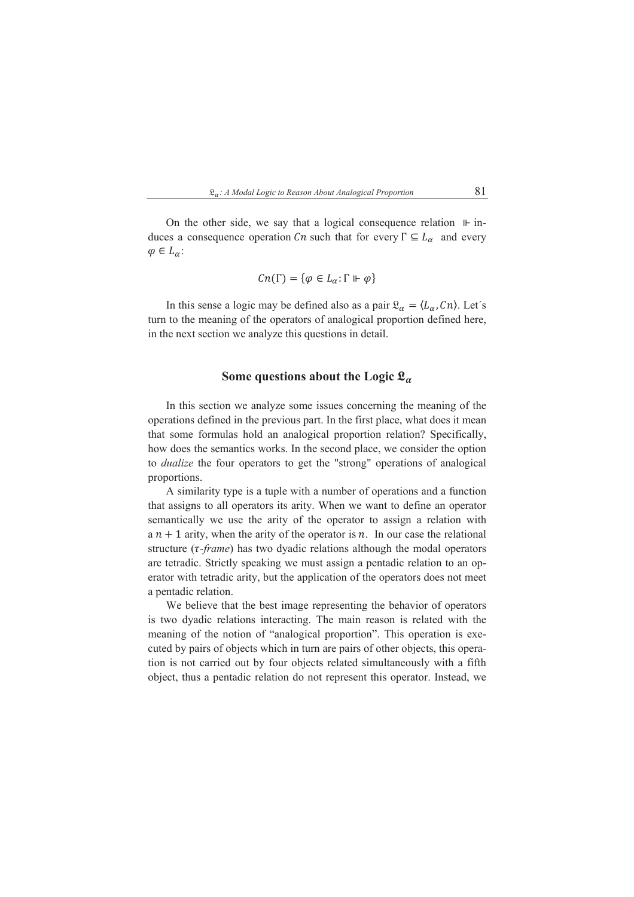

On the other side, we say that a logical consequence relation  $\mathbb{H}$  induces a consequence operation Cn such that for every  $\Gamma \subseteq L_{\alpha}$  and every  $\varphi \in L_{\alpha}$ :

$$
Cn(\Gamma) = \{ \varphi \in L_{\alpha}: \Gamma \Vdash \varphi \}
$$

In this sense a logic may be defined also as a pair  $\mathfrak{L}_{\alpha} = \langle L_{\alpha}, C_{n} \rangle$ . Let's turn to the meaning of the operators of analogical proportion defined here, in the next section we analyze this questions in detail.

### Some questions about the Logic  $\mathfrak{L}_{\alpha}$

In this section we analyze some issues concerning the meaning of the operations defined in the previous part. In the first place, what does it mean that some formulas hold an analogical proportion relation? Specifically, how does the semantics works. In the second place, we consider the option to *dualize* the four operators to get the "strong" operations of analogical proportions.

A similarity type is a tuple with a number of operations and a function that assigns to all operators its arity. When we want to define an operator semantically we use the arity of the operator to assign a relation with  $a n + 1$  arity, when the arity of the operator is n. In our case the relational structure  $(\tau$ -frame) has two dyadic relations although the modal operators are tetradic. Strictly speaking we must assign a pentadic relation to an operator with tetradic arity, but the application of the operators does not meet a pentadic relation.

We believe that the best image representing the behavior of operators is two dyadic relations interacting. The main reason is related with the meaning of the notion of "analogical proportion". This operation is executed by pairs of objects which in turn are pairs of other objects, this operation is not carried out by four objects related simultaneously with a fifth object, thus a pentadic relation do not represent this operator. Instead, we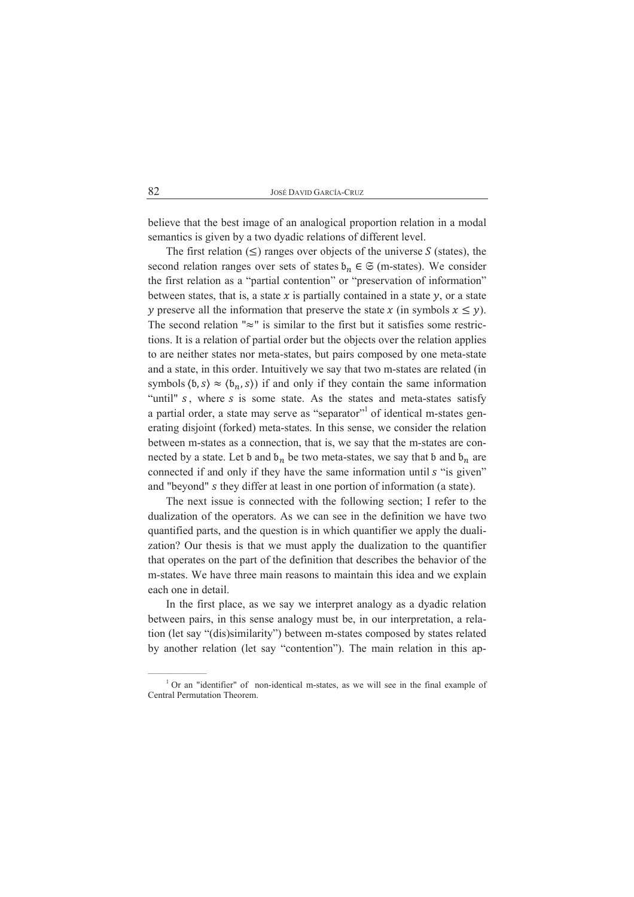believe that the best image of an analogical proportion relation in a modal semantics is given by a two dyadic relations of different level.

The first relation  $(\leq)$  ranges over objects of the universe S (states), the second relation ranges over sets of states  $b_n \in \mathfrak{S}$  (m-states). We consider the first relation as a "partial contention" or "preservation of information" between states, that is, a state  $x$  is partially contained in a state  $y$ , or a state y preserve all the information that preserve the state x (in symbols  $x \le y$ ). The second relation " $\approx$ " is similar to the first but it satisfies some restrictions. It is a relation of partial order but the objects over the relation applies to are neither states nor meta-states, but pairs composed by one meta-state and a state, in this order. Intuitively we say that two m-states are related (in symbols  $(b, s) \approx (b_n, s)$  if and only if they contain the same information "until" s, where s is some state. As the states and meta-states satisfy a partial order, a state may serve as "separator" of identical m-states generating disjoint (forked) meta-states. In this sense, we consider the relation between m-states as a connection, that is, we say that the m-states are connected by a state. Let b and  $b_n$  be two meta-states, we say that b and  $b_n$  are connected if and only if they have the same information until s "is given" and "beyond" s they differ at least in one portion of information (a state).

The next issue is connected with the following section; I refer to the dualization of the operators. As we can see in the definition we have two quantified parts, and the question is in which quantifier we apply the dualization? Our thesis is that we must apply the dualization to the quantifier that operates on the part of the definition that describes the behavior of the m-states. We have three main reasons to maintain this idea and we explain each one in detail.

In the first place, as we say we interpret analogy as a dyadic relation between pairs, in this sense analogy must be, in our interpretation, a relation (let say "(dis)similarity") between m-states composed by states related by another relation (let say "contention"). The main relation in this ap-

 $1$  Or an "identifier" of non-identical m-states, as we will see in the final example of Central Permutation Theorem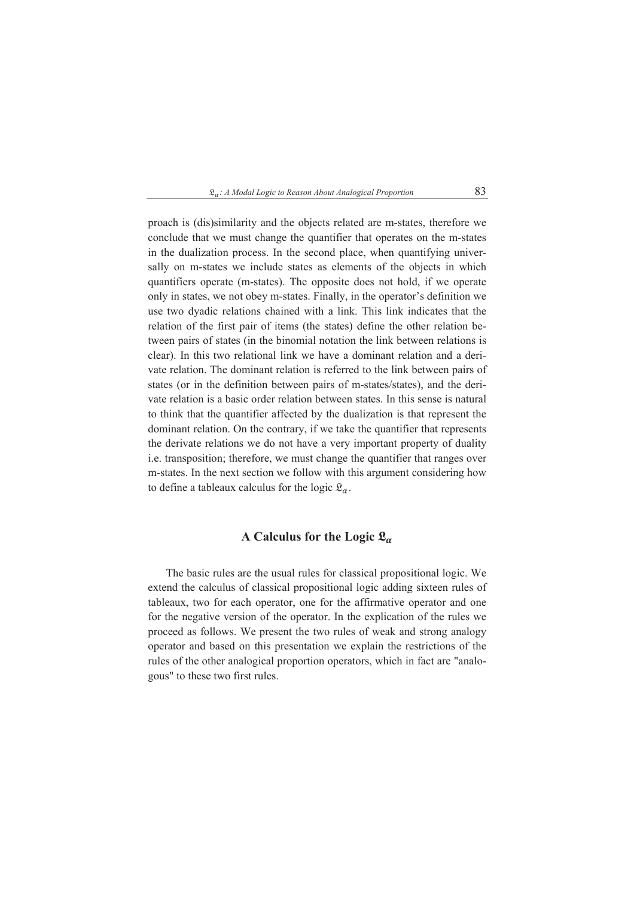proach is (dis)similarity and the objects related are m-states, therefore we conclude that we must change the quantifier that operates on the m-states in the dualization process. In the second place, when quantifying universally on m-states we include states as elements of the objects in which quantifiers operate (m-states). The opposite does not hold, if we operate only in states, we not obey m-states. Finally, in the operator's definition we use two dyadic relations chained with a link. This link indicates that the relation of the first pair of items (the states) define the other relation between pairs of states (in the binomial notation the link between relations is clear). In this two relational link we have a dominant relation and a derivate relation. The dominant relation is referred to the link between pairs of states (or in the definition between pairs of m-states/states), and the derivate relation is a basic order relation between states. In this sense is natural to think that the quantifier affected by the dualization is that represent the dominant relation. On the contrary, if we take the quantifier that represents the derivate relations we do not have a very important property of duality i.e. transposition; therefore, we must change the quantifier that ranges over m-states. In the next section we follow with this argument considering how to define a tableaux calculus for the logic  $\mathfrak{L}_{\alpha}$ .

### A Calculus for the Logic  $\mathfrak{L}_{\alpha}$

The basic rules are the usual rules for classical propositional logic. We extend the calculus of classical propositional logic adding sixteen rules of tableaux, two for each operator, one for the affirmative operator and one for the negative version of the operator. In the explication of the rules we proceed as follows. We present the two rules of weak and strong analogy operator and based on this presentation we explain the restrictions of the rules of the other analogical proportion operators, which in fact are "analogous" to these two first rules.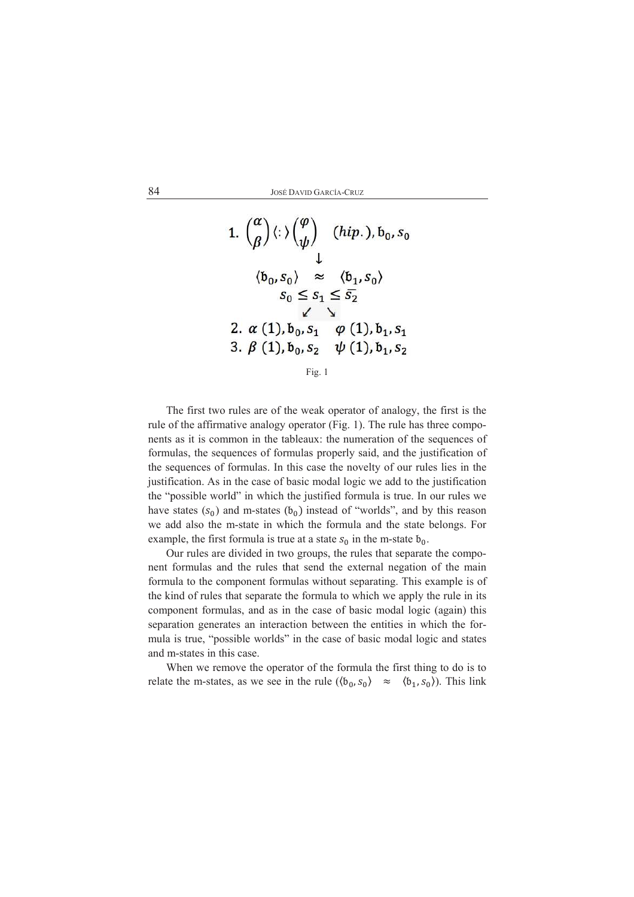

Fig.  $1$ 

The first two rules are of the weak operator of analogy, the first is the rule of the affirmative analogy operator (Fig. 1). The rule has three components as it is common in the tableaux: the numeration of the sequences of formulas, the sequences of formulas properly said, and the justification of the sequences of formulas. In this case the novelty of our rules lies in the justification. As in the case of basic modal logic we add to the justification the "possible world" in which the justified formula is true. In our rules we have states  $(s_0)$  and m-states  $(b_0)$  instead of "worlds", and by this reason we add also the m-state in which the formula and the state belongs. For example, the first formula is true at a state  $s_0$  in the m-state  $b_0$ .

Our rules are divided in two groups, the rules that separate the component formulas and the rules that send the external negation of the main formula to the component formulas without separating. This example is of the kind of rules that separate the formula to which we apply the rule in its component formulas, and as in the case of basic modal logic (again) this separation generates an interaction between the entities in which the formula is true, "possible worlds" in the case of basic modal logic and states and m-states in this case.

When we remove the operator of the formula the first thing to do is to relate the m-states, as we see in the rule  $(\langle b_0, s_0 \rangle \approx \langle b_1, s_0 \rangle)$ . This link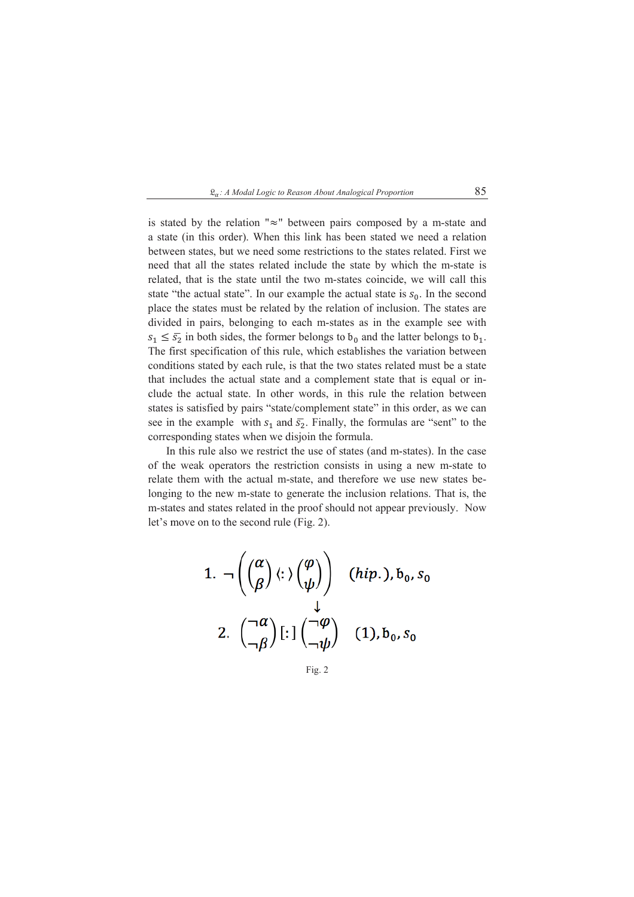

is stated by the relation " $\approx$ " between pairs composed by a m-state and a state (in this order). When this link has been stated we need a relation between states, but we need some restrictions to the states related. First we need that all the states related include the state by which the m-state is related, that is the state until the two m-states coincide, we will call this state "the actual state". In our example the actual state is  $s_0$ . In the second place the states must be related by the relation of inclusion. The states are divided in pairs, belonging to each m-states as in the example see with  $s_1 \leq \overline{s_2}$  in both sides, the former belongs to  $b_0$  and the latter belongs to  $b_1$ . The first specification of this rule, which establishes the variation between conditions stated by each rule, is that the two states related must be a state that includes the actual state and a complement state that is equal or include the actual state. In other words, in this rule the relation between states is satisfied by pairs "state/complement state" in this order, as we can see in the example with  $s_1$  and  $\overline{s_2}$ . Finally, the formulas are "sent" to the corresponding states when we disjoin the formula.

In this rule also we restrict the use of states (and m-states). In the case of the weak operators the restriction consists in using a new m-state to relate them with the actual m-state, and therefore we use new states belonging to the new m-state to generate the inclusion relations. That is, the m-states and states related in the proof should not appear previously. Now let's move on to the second rule (Fig. 2).

1. 
$$
\neg \left( \begin{pmatrix} \alpha \\ \beta \end{pmatrix} \langle : \rangle \begin{pmatrix} \varphi \\ \psi \end{pmatrix} \right)
$$
 (*hip.*),  $b_0$ ,  $s_0$   
2.  $\begin{pmatrix} \neg \alpha \\ \neg \beta \end{pmatrix} \begin{bmatrix} : \end{bmatrix} \begin{pmatrix} \neg \varphi \\ \neg \psi \end{pmatrix}$  (1),  $b_0$ ,  $s_0$ 

Fig.  $2$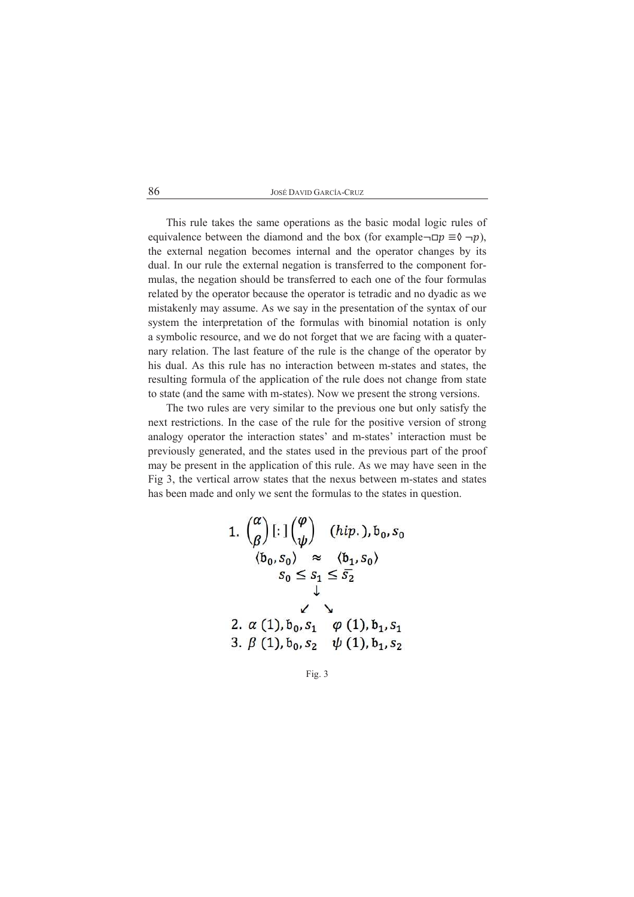This rule takes the same operations as the basic modal logic rules of equivalence between the diamond and the box (for example $\neg$  $\neg p \equiv \Diamond \neg p$ ), the external negation becomes internal and the operator changes by its dual. In our rule the external negation is transferred to the component formulas, the negation should be transferred to each one of the four formulas related by the operator because the operator is tetradic and no dyadic as we mistakenly may assume. As we say in the presentation of the syntax of our system the interpretation of the formulas with binomial notation is only a symbolic resource, and we do not forget that we are facing with a quaternary relation. The last feature of the rule is the change of the operator by his dual. As this rule has no interaction between m-states and states, the resulting formula of the application of the rule does not change from state to state (and the same with m-states). Now we present the strong versions.

The two rules are very similar to the previous one but only satisfy the next restrictions. In the case of the rule for the positive version of strong analogy operator the interaction states' and m-states' interaction must be previously generated, and the states used in the previous part of the proof may be present in the application of this rule. As we may have seen in the Fig 3, the vertical arrow states that the nexus between m-states and states has been made and only we sent the formulas to the states in question.

1. 
$$
\binom{\alpha}{\beta}
$$
[: $\left(\frac{\varphi}{\psi}\right)$  (hip.),  $b_0$ ,  $s_0$   
\n $\langle b_0, s_0 \rangle \approx \langle b_1, s_0 \rangle$   
\n $s_0 \le s_1 \le \overline{s_2}$   
\n  
\n2.  $\alpha$  (1),  $b_0$ ,  $s_1$   $\varphi$  (1),  $b_1$ ,  $s_1$   
\n3.  $\beta$  (1),  $b_0$ ,  $s_2$   $\psi$  (1),  $b_1$ ,  $s_2$ 

Fig. 3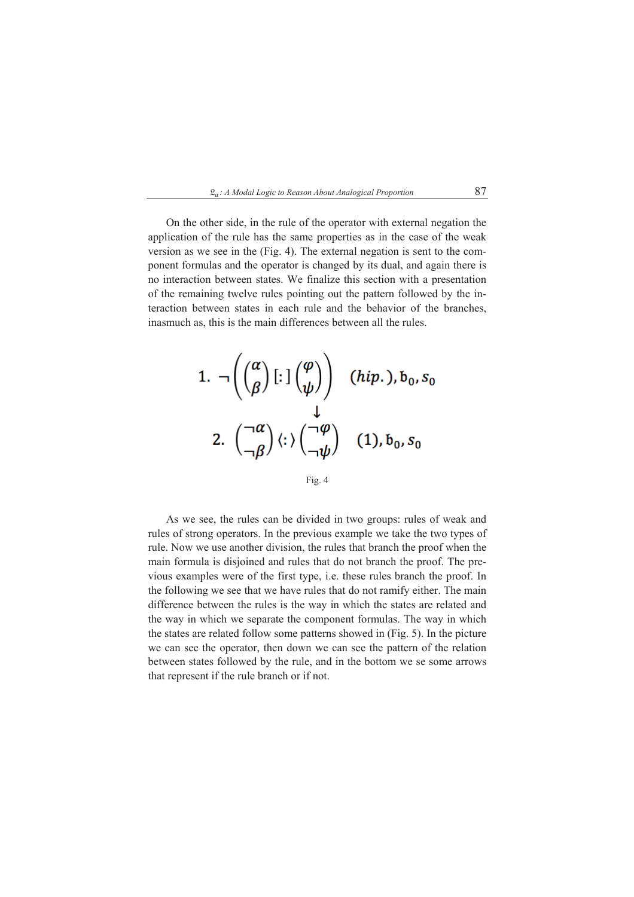

On the other side, in the rule of the operator with external negation the application of the rule has the same properties as in the case of the weak version as we see in the (Fig. 4). The external negation is sent to the component formulas and the operator is changed by its dual, and again there is no interaction between states. We finalize this section with a presentation of the remaining twelve rules pointing out the pattern followed by the interaction between states in each rule and the behavior of the branches, inasmuch as, this is the main differences between all the rules.



Fig. 4

As we see, the rules can be divided in two groups: rules of weak and rules of strong operators. In the previous example we take the two types of rule. Now we use another division, the rules that branch the proof when the main formula is disjoined and rules that do not branch the proof. The previous examples were of the first type, i.e. these rules branch the proof. In the following we see that we have rules that do not ramify either. The main difference between the rules is the way in which the states are related and the way in which we separate the component formulas. The way in which the states are related follow some patterns showed in (Fig. 5). In the picture we can see the operator, then down we can see the pattern of the relation between states followed by the rule, and in the bottom we se some arrows that represent if the rule branch or if not.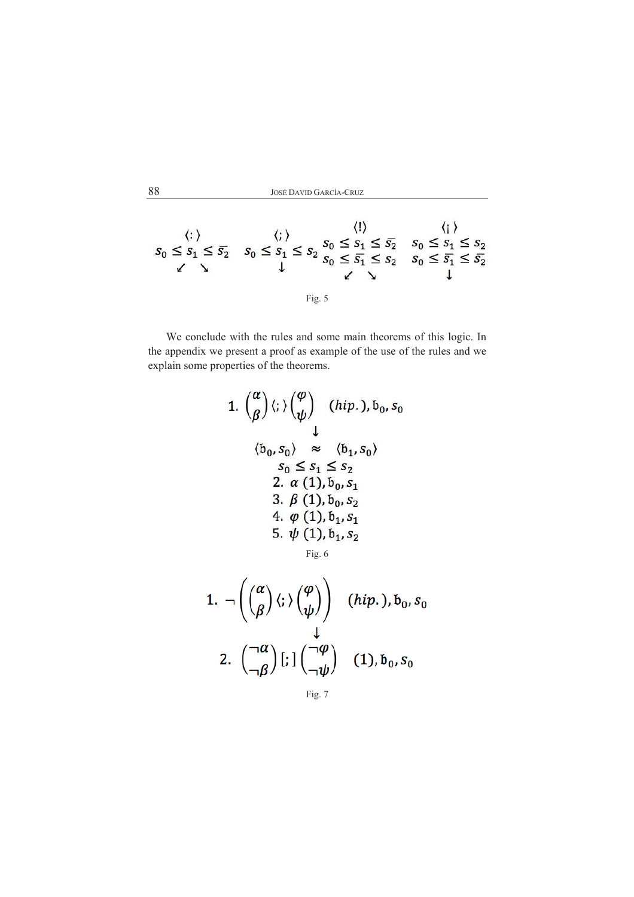$$
\langle :\rangle \qquad \langle ; \rangle \qquad \langle \rangle \qquad \langle \rangle
$$
\n
$$
s_0 \le s_1 \le s_2 \qquad s_0 \le s_1 \le s_2 \qquad s_0 \le s_1 \le s_2 \qquad \langle \rangle
$$
\n
$$
\downarrow \qquad \qquad \downarrow \qquad \qquad \downarrow \qquad \qquad \downarrow
$$
\n
$$
\text{Fig. 5}
$$

We conclude with the rules and some main theorems of this logic. In the appendix we present a proof as example of the use of the rules and we explain some properties of the theorems.

1. 
$$
\binom{\alpha}{\beta}
$$
  $\langle$ ;  $\rangle$   $\binom{\varphi}{\psi}$  *(hip.)*,  $b_0$ ,  $s_0$   
\n $\downarrow$   
\n $\langle b_0, s_0 \rangle \approx \langle b_1, s_0 \rangle$   
\n $s_0 \le s_1 \le s_2$   
\n2.  $\alpha$  (1),  $b_0$ ,  $s_1$   
\n3.  $\beta$  (1),  $b_0$ ,  $s_2$   
\n4.  $\varphi$  (1),  $b_1$ ,  $s_1$   
\n5.  $\psi$  (1),  $b_1$ ,  $s_2$   
\nFig. 6

1. 
$$
\neg \left( \begin{pmatrix} \alpha \\ \beta \end{pmatrix} \langle ; \rangle \begin{pmatrix} \varphi \\ \psi \end{pmatrix} \right)
$$
 (*hip.*),  $b_0$ ,  $s_0$   
2.  $\begin{pmatrix} \neg \alpha \\ \neg \beta \end{pmatrix} \begin{bmatrix} \cdot \\ \cdot \end{bmatrix} \begin{pmatrix} \neg \varphi \\ \neg \psi \end{pmatrix}$  (1),  $b_0$ ,  $s_0$ 

 $88\,$ 

Fig. 7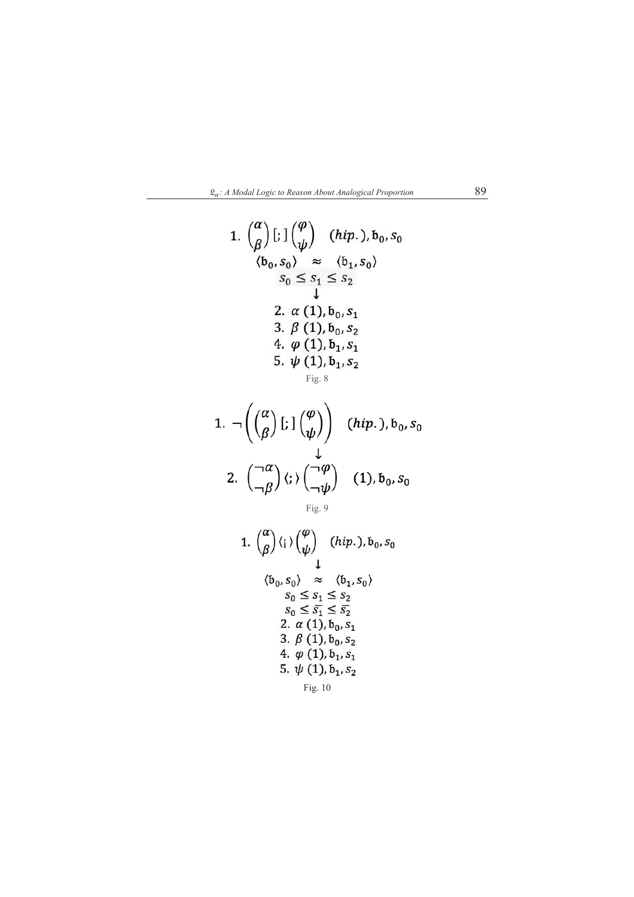

1. 
$$
\binom{\alpha}{\beta}
$$
[:  $\left(\frac{\varphi}{\psi}\right)$  (hip.),  $b_0$ ,  $s_0$   
\n $\langle b_0, s_0 \rangle \approx \langle b_1, s_0 \rangle$   
\n $s_0 \le s_1 \le s_2$   
\n2.  $\alpha$  (1),  $b_0$ ,  $s_1$   
\n3.  $\beta$  (1),  $b_0$ ,  $s_2$   
\n4.  $\varphi$  (1),  $b_1$ ,  $s_1$   
\n5.  $\psi$  (1),  $b_1$ ,  $s_2$   
\nFig. 8

1. 
$$
\neg \left( \begin{pmatrix} \alpha \\ \beta \end{pmatrix} \begin{bmatrix} : \\ \end{pmatrix} \begin{pmatrix} \varphi \\ \psi \end{pmatrix} \right)
$$
 (hip.),  $b_0$ ,  $s_0$   
2.  $\begin{pmatrix} \neg \alpha \\ \neg \beta \end{pmatrix} \langle : \rangle \begin{pmatrix} \neg \varphi \\ \neg \psi \end{pmatrix}$  (1),  $b_0$ ,  $s_0$ 

Fig. 9

1. 
$$
\binom{\alpha}{\beta}
$$
  $\langle i \rangle \binom{\varphi}{\psi}$  *(hip.)*,  $b_0$ ,  $s_0$   
\n $\downarrow$   
\n $\langle b_0, s_0 \rangle \approx \langle b_1, s_0 \rangle$   
\n $s_0 \le s_1 \le s_2$   
\n $s_0 \le \overline{s_1} \le \overline{s_2}$   
\n2.  $\alpha$  (1),  $b_0$ ,  $s_1$   
\n3.  $\beta$  (1),  $b_0$ ,  $s_2$   
\n4.  $\varphi$  (1),  $b_1$ ,  $s_1$   
\n5.  $\psi$  (1),  $b_1$ ,  $s_2$   
\nFig. 10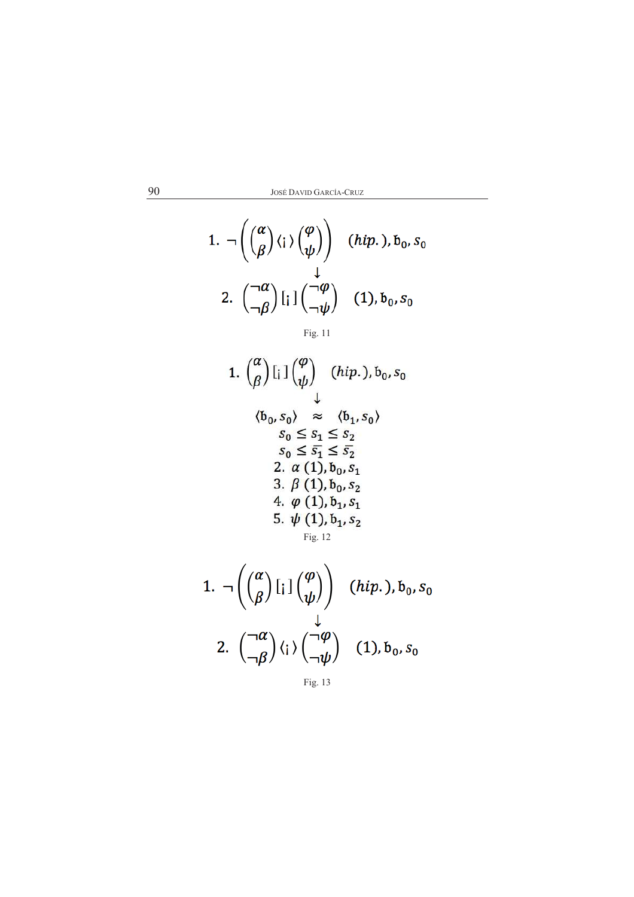1. 
$$
\neg \left( \begin{pmatrix} \alpha \\ \beta \end{pmatrix} \langle i \rangle \begin{pmatrix} \varphi \\ \psi \end{pmatrix} \right)
$$
 (*hip.*),  $b_0$ ,  $s_0$   
2.  $\begin{pmatrix} \neg \alpha \\ \neg \beta \end{pmatrix} [i] \begin{pmatrix} \neg \varphi \\ \neg \psi \end{pmatrix}$  (1),  $b_0$ ,  $s_0$ 

Fig. 11

1. 
$$
\binom{\alpha}{\beta}
$$
  $\left[ \begin{array}{cc} 1 \end{array} \right] \binom{\varphi}{\psi}$  *(hip.)*,  $b_0$ ,  $s_0$   
\n $\downarrow$   
\n $\langle b_0, s_0 \rangle \approx \langle b_1, s_0 \rangle$   
\n $s_0 \le s_1 \le s_2$   
\n $s_0 \le s_1 \le s_2$   
\n2.  $\alpha$  (1),  $b_0$ ,  $s_1$   
\n3.  $\beta$  (1),  $b_0$ ,  $s_2$   
\n4.  $\varphi$  (1),  $b_1$ ,  $s_1$   
\n5.  $\psi$  (1),  $b_1$ ,  $s_2$   
\nFig. 12

1. 
$$
\neg \left( \begin{pmatrix} \alpha \\ \beta \end{pmatrix} [i] \begin{pmatrix} \varphi \\ \psi \end{pmatrix} \right)
$$
 (*hip.*),  $b_0$ ,  $s_0$   
2.  $\begin{pmatrix} \neg \alpha \\ \neg \beta \end{pmatrix} \langle i \rangle \begin{pmatrix} \neg \varphi \\ \neg \psi \end{pmatrix}$  (1),  $b_0$ ,  $s_0$ 

Fig. 13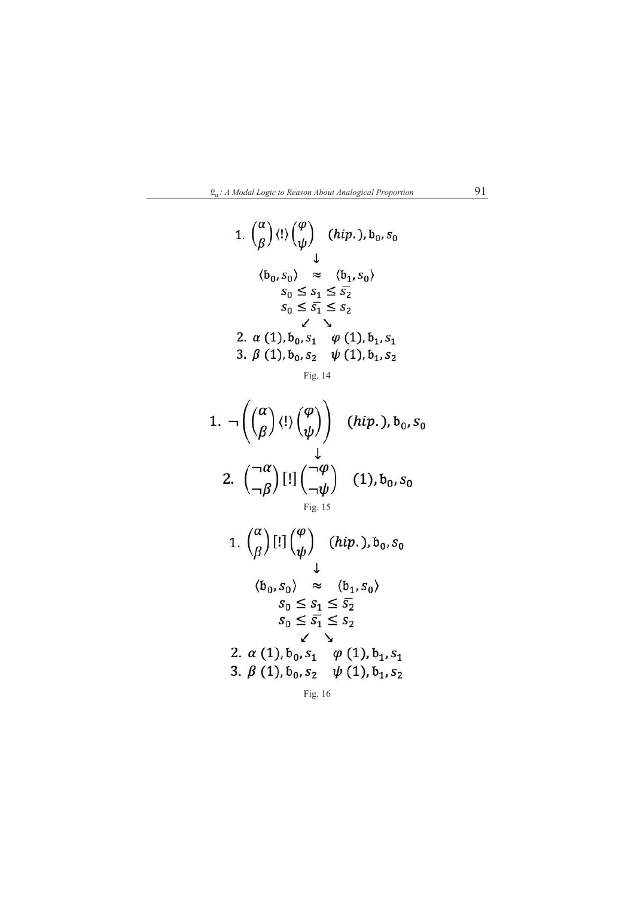

1. 
$$
\binom{\alpha}{\beta}
$$
  $\langle ! \rangle \binom{\varphi}{\psi}$  *(hip.), b<sub>0</sub>, s<sub>0</sub>*  
\n $\downarrow$   
\n $\langle b_0, s_0 \rangle \approx \langle b_1, s_0 \rangle$   
\n $s_0 \le s_1 \le s_2$   
\n $s_0 \le \overline{s_1} \le s_2$   
\n2.  $\alpha$  (1),  $b_0, s_1 \varphi$  (1),  $b_1, s_1$   
\n3.  $\beta$  (1),  $b_0, s_2 \psi$  (1),  $b_1, s_2$ 

Fig. 14

1. 
$$
\neg \left( \begin{pmatrix} \alpha \\ \beta \end{pmatrix} \langle 1 \rangle \begin{pmatrix} \varphi \\ \psi \end{pmatrix} \right)
$$
 (*hip.*),  $b_0$ ,  $s_0$   
2.  $\left( \begin{pmatrix} \neg \alpha \\ \neg \beta \end{pmatrix} \begin{bmatrix} 1 \end{bmatrix} \begin{pmatrix} \neg \varphi \\ \neg \psi \end{pmatrix}$  (1),  $b_0$ ,  $s_0$ 

1. 
$$
\binom{\alpha}{\beta}
$$
 [!]  $\binom{\varphi}{\psi}$  (hip.),  $b_0$ ,  $s_0$   
\n $\downarrow$   
\n $\langle b_0, s_0 \rangle \approx \langle b_1, s_0 \rangle$   
\n $s_0 \le s_1 \le \overline{s_2}$   
\n $s_0 \le \overline{s_1} \le s_2$   
\n2.  $\alpha$  (1),  $b_0$ ,  $s_1$   $\varphi$  (1),  $b_1$ ,  $s_1$   
\n3.  $\beta$  (1),  $b_0$ ,  $s_2$   $\psi$  (1),  $b_1$ ,  $s_2$ 

Fig. 16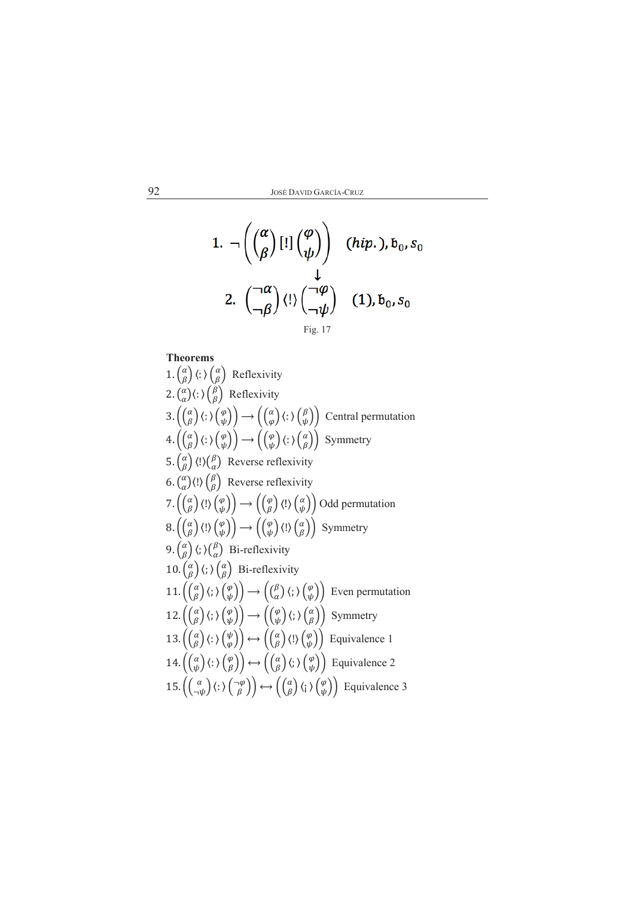1. 
$$
\neg \left( \begin{pmatrix} \alpha \\ \beta \end{pmatrix} [!] \begin{pmatrix} \varphi \\ \psi \end{pmatrix} \right)
$$
 (*hip.*),  $b_0$ ,  $s_0$   
1.  $\qquad \downarrow$   
2.  $\left( \begin{pmatrix} \neg \alpha \\ \neg \beta \end{pmatrix} \langle ! \rangle \begin{pmatrix} \neg \varphi \\ \neg \psi \end{pmatrix} \right)$  (1),  $b_0$ ,  $s_0$   
 $\qquad \qquad \text{Fig. 17}$ 

$$
\Gamma
$$

**Theorems** 1.  $\begin{pmatrix} \alpha \\ \beta \end{pmatrix} \langle : \rangle \begin{pmatrix} \alpha \\ \beta \end{pmatrix}$  Reflexivity 2.  $\binom{\alpha}{\alpha}$ (:)  $\binom{\beta}{\beta}$  Reflexivity 3.  $\begin{pmatrix} \alpha \\ \beta \end{pmatrix} \begin{pmatrix} \cdot \\ \cdot \end{pmatrix} \begin{pmatrix} \varphi \\ \psi \end{pmatrix} \rightarrow \begin{pmatrix} \alpha \\ \varphi \end{pmatrix} \begin{pmatrix} \cdot \\ \cdot \end{pmatrix} \begin{pmatrix} \beta \\ \psi \end{pmatrix}$  Central permutation<br>4.  $\begin{pmatrix} \alpha \\ \beta \end{pmatrix} \begin{pmatrix} \cdot \\ \cdot \end{pmatrix} \begin{pmatrix} \varphi \\ \psi \end{pmatrix} \rightarrow \begin{pmatrix} \begin{pmatrix} \varphi \\ \psi \end{pmatrix} \begin{pmatrix} \$ 5.  $\binom{\alpha}{\beta}$  (!) $\binom{\beta}{\alpha}$  Reverse reflexivity 6.  $\binom{\alpha}{\alpha}$ (!)  $\binom{\beta}{\beta}$  Reverse reflexivity 7.  $(\begin{pmatrix} \alpha \\ \beta \end{pmatrix} \langle ! \rangle \begin{pmatrix} \varphi \\ \psi \end{pmatrix} \rangle \rightarrow ((\begin{pmatrix} \varphi \\ \beta \end{pmatrix} \langle ! \rangle \begin{pmatrix} \alpha \\ \psi \end{pmatrix})$  Odd permutation<br>8.  $(\begin{pmatrix} \alpha \\ \beta \end{pmatrix} \langle ! \rangle \begin{pmatrix} \varphi \\ \psi \end{pmatrix} \rangle \rightarrow ((\begin{pmatrix} \varphi \\ \psi \end{pmatrix} \langle ! \rangle \begin{pmatrix} \alpha \\ \beta \end{pmatrix})$  Symmetry 9.  $\begin{pmatrix} \alpha \\ \beta \end{pmatrix}$  (; ) $\begin{pmatrix} \beta \\ \alpha \end{pmatrix}$  Bi-reflexivity  $10.\left(\begin{matrix} \alpha \\ \beta \end{matrix}\right)\left\langle ;\right\rangle \left(\begin{matrix} \alpha \\ \beta \end{matrix}\right)$  Bi-reflexivity 11.  $((\begin{pmatrix} \alpha \\ \beta \end{pmatrix} \langle; \rangle (\begin{pmatrix} \varphi \\ \psi \end{pmatrix}) \rightarrow ((\begin{pmatrix} \beta \\ \alpha \end{pmatrix} \langle; \rangle (\begin{pmatrix} \varphi \\ \psi \end{pmatrix})$  Even permutation 12.  $((\begin{smallmatrix} \alpha \\ \beta \end{smallmatrix})(;)(\begin{smallmatrix} \varphi \\ \psi \end{smallmatrix})) \rightarrow ((\begin{smallmatrix} \varphi \\ \psi \end{smallmatrix})(;)(\begin{smallmatrix} \alpha \\ \beta \end{smallmatrix}))$  Symmetry 13.  $((\begin{smallmatrix} \alpha \\ \beta \end{smallmatrix})(:) (\begin{smallmatrix} \psi \\ \varphi \end{smallmatrix})) \leftrightarrow ((\begin{smallmatrix} \alpha \\ \beta \end{smallmatrix})(!) (\begin{smallmatrix} \varphi \\ \psi \end{smallmatrix}))$  Equivalence 1 14.  $((\begin{matrix} \alpha \\ \psi \end{matrix})(\cdot)(\begin{matrix} \varphi \\ \beta \end{matrix})) \leftrightarrow ((\begin{matrix} \alpha \\ \beta \end{matrix})(\cdot)(\begin{matrix} \varphi \\ \psi \end{matrix}))$  Equivalence 2 15.  $\left( \begin{pmatrix} \alpha \\ -\psi \end{pmatrix} \langle : \rangle \begin{pmatrix} -\varphi \\ \beta \end{pmatrix} \rangle \leftrightarrow \left( \begin{pmatrix} \alpha \\ \beta \end{pmatrix} \langle : \rangle \begin{pmatrix} \varphi \\ \psi \end{pmatrix} \right)$  Equivalence 3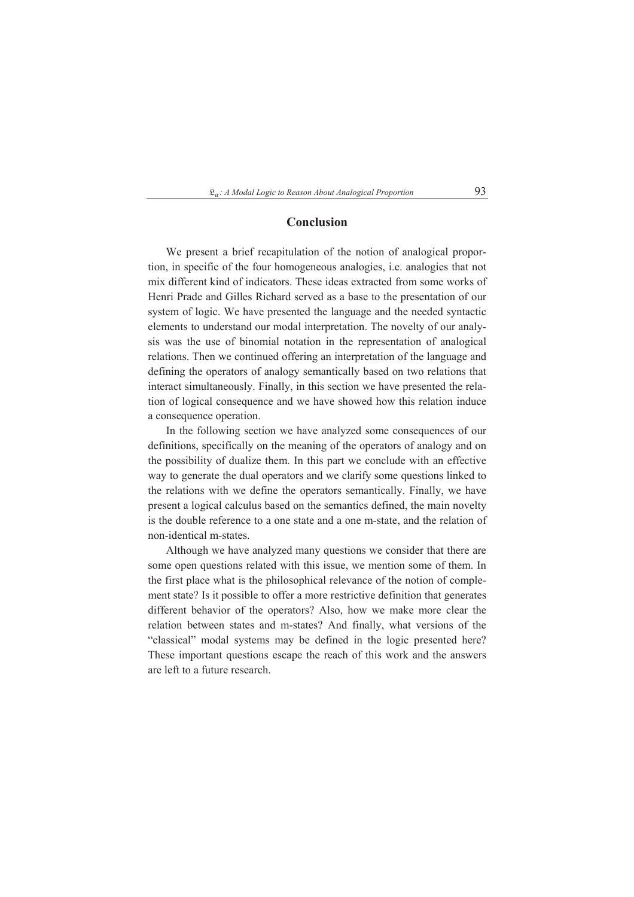#### $\mathfrak{L}_{\alpha}$ : A Modal Logic to Reason About Analogical Proportion

### Conclusion

We present a brief recapitulation of the notion of analogical proportion, in specific of the four homogeneous analogies, i.e. analogies that not mix different kind of indicators. These ideas extracted from some works of Henri Prade and Gilles Richard served as a base to the presentation of our system of logic. We have presented the language and the needed syntactic elements to understand our modal interpretation. The novelty of our analysis was the use of binomial notation in the representation of analogical relations. Then we continued offering an interpretation of the language and defining the operators of analogy semantically based on two relations that interact simultaneously. Finally, in this section we have presented the relation of logical consequence and we have showed how this relation induce a consequence operation.

In the following section we have analyzed some consequences of our definitions, specifically on the meaning of the operators of analogy and on the possibility of dualize them. In this part we conclude with an effective way to generate the dual operators and we clarify some questions linked to the relations with we define the operators semantically. Finally, we have present a logical calculus based on the semantics defined, the main novelty is the double reference to a one state and a one m-state, and the relation of non-identical m-states.

Although we have analyzed many questions we consider that there are some open questions related with this issue, we mention some of them. In the first place what is the philosophical relevance of the notion of complement state? Is it possible to offer a more restrictive definition that generates different behavior of the operators? Also, how we make more clear the relation between states and m-states? And finally, what versions of the "classical" modal systems may be defined in the logic presented here? These important questions escape the reach of this work and the answers are left to a future research.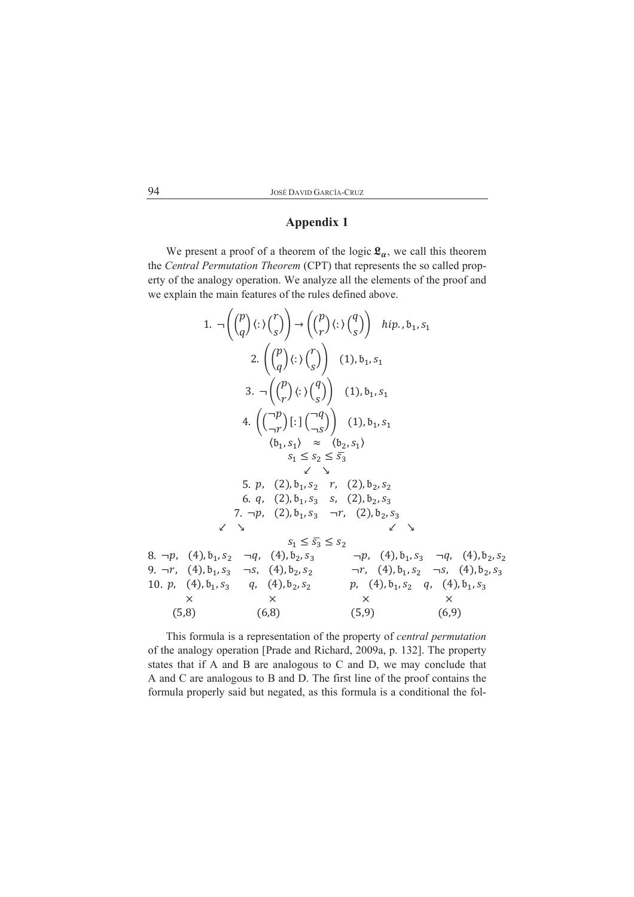## **Appendix 1**

We present a proof of a theorem of the logic  $\mathfrak{L}_{\alpha}$ , we call this theorem the Central Permutation Theorem (CPT) that represents the so called property of the analogy operation. We analyze all the elements of the proof and we explain the main features of the rules defined above.

1. 
$$
\neg \left( {p \choose q} \langle : \rangle {r \choose s} \right) \rightarrow \left( {p \choose r} \langle : \rangle {q \choose s} \right)
$$
 *hip., b<sub>1</sub>, s<sub>1</sub>*  
\n2.  $\left( {p \choose q} \langle : \rangle {r \choose s} \right)$  (1), b<sub>1</sub>, s<sub>1</sub>  
\n3.  $\neg \left( {p \choose r} \langle : \rangle {q \choose s} \right)$  (1), b<sub>1</sub>, s<sub>1</sub>  
\n4.  $\left( {\bigcap_{\neg r}^{\neg p} \bigg[ : \bigg( {\bigcap_{\neg s}^{\neg q}} \bigg)} \right)$  (1), b<sub>1</sub>, s<sub>1</sub>  
\n $\langle b_1, s_1 \rangle \approx \langle b_2, s_1 \rangle$   
\n5. *p*, (2), b<sub>1</sub>, s<sub>2</sub> *r*, (2), b<sub>2</sub>, s<sub>2</sub>  
\n6. *q*, (2), b<sub>1</sub>, s<sub>3</sub> *s*, (2), b<sub>2</sub>, s<sub>3</sub>  
\n7.  $\neg p$ , (2), b<sub>1</sub>, s<sub>3</sub> *s*, (2), b<sub>2</sub>, s<sub>3</sub>  
\n8.  $\neg p$ , (4), b<sub>1</sub>, s<sub>2</sub>  $\neg q$ , (4), b<sub>2</sub>, s<sub>3</sub>  
\n9.  $\neg r$ , (4), b<sub>1</sub>, s<sub>3</sub>  $\neg s$ , (4), b<sub>2</sub>, s<sub>2</sub>  
\n10. *p*, (4), b<sub>1</sub>, s<sub>3</sub>  $\neg s$ , (4), b<sub>2</sub>, s<sub>2</sub>  
\n8.  $\neg \varphi$ , (4), b<sub>1</sub>, s<sub>3</sub>  $\neg s$ , (4), b<sub>2</sub>, s<sub>2</sub>  
\n9.  $\neg r$ , (4), b<sub>1</sub>, s<sub>3</sub> *q*, (4), b<sub>2</sub>, s<sub>2</sub>  
\n9.  $\neg r$ , (

This formula is a representation of the property of *central permutation* of the analogy operation [Prade and Richard, 2009a, p. 132]. The property states that if A and B are analogous to C and D, we may conclude that A and C are analogous to B and D. The first line of the proof contains the formula properly said but negated, as this formula is a conditional the fol-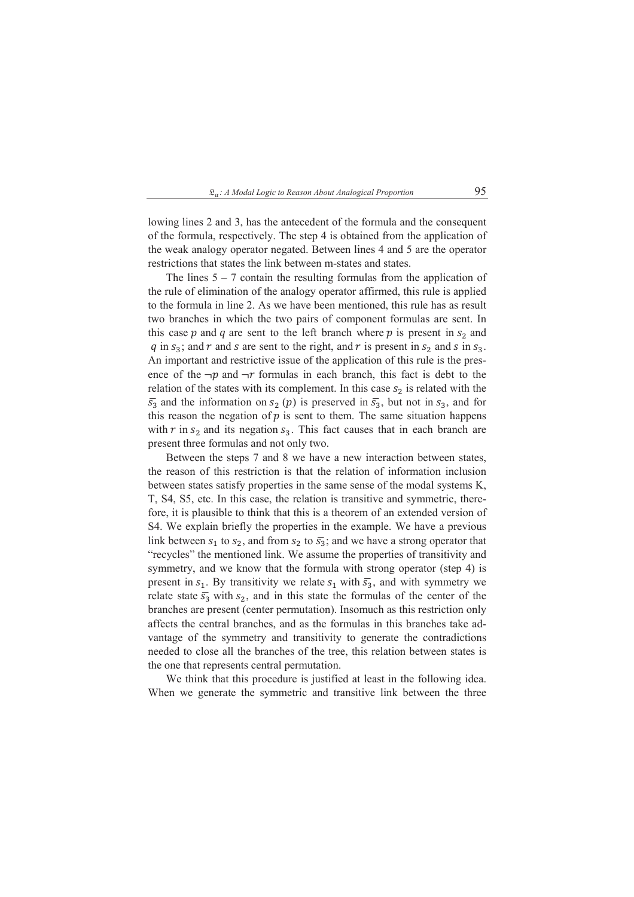lowing lines 2 and 3, has the antecedent of the formula and the consequent of the formula, respectively. The step 4 is obtained from the application of the weak analogy operator negated. Between lines 4 and 5 are the operator restrictions that states the link between m-states and states.

The lines  $5 - 7$  contain the resulting formulas from the application of the rule of elimination of the analogy operator affirmed, this rule is applied to the formula in line 2. As we have been mentioned, this rule has as result two branches in which the two pairs of component formulas are sent. In this case p and q are sent to the left branch where p is present in  $s_2$  and q in  $s_3$ ; and r and s are sent to the right, and r is present in  $s_2$  and s in  $s_3$ . An important and restrictive issue of the application of this rule is the presence of the  $\neg p$  and  $\neg r$  formulas in each branch, this fact is debt to the relation of the states with its complement. In this case  $s_2$  is related with the  $\overline{s_3}$  and the information on  $s_2$  (p) is preserved in  $\overline{s_3}$ , but not in  $s_3$ , and for this reason the negation of  $p$  is sent to them. The same situation happens with  $r$  in  $s_2$  and its negation  $s_3$ . This fact causes that in each branch are present three formulas and not only two.

Between the steps 7 and 8 we have a new interaction between states. the reason of this restriction is that the relation of information inclusion between states satisfy properties in the same sense of the modal systems K, T, S4, S5, etc. In this case, the relation is transitive and symmetric, therefore, it is plausible to think that this is a theorem of an extended version of S4. We explain briefly the properties in the example. We have a previous link between  $s_1$  to  $s_2$ , and from  $s_2$  to  $\overline{s_3}$ ; and we have a strong operator that "recycles" the mentioned link. We assume the properties of transitivity and symmetry, and we know that the formula with strong operator (step 4) is present in  $s_1$ . By transitivity we relate  $s_1$  with  $\overline{s_3}$ , and with symmetry we relate state  $\bar{s}_3$  with  $s_2$ , and in this state the formulas of the center of the branches are present (center permutation). Insomuch as this restriction only affects the central branches, and as the formulas in this branches take advantage of the symmetry and transitivity to generate the contradictions needed to close all the branches of the tree, this relation between states is the one that represents central permutation.

We think that this procedure is justified at least in the following idea. When we generate the symmetric and transitive link between the three